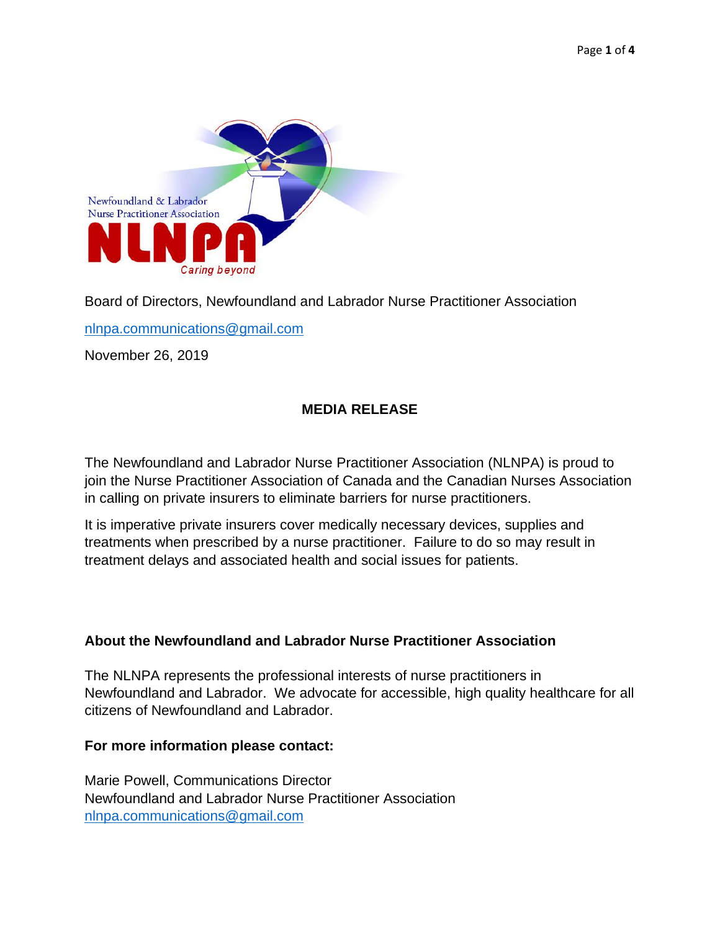

Board of Directors, Newfoundland and Labrador Nurse Practitioner Association

[nlnpa.communications@gmail.com](mailto:nlnpa.communications@gmail.com)

November 26, 2019

# **MEDIA RELEASE**

The Newfoundland and Labrador Nurse Practitioner Association (NLNPA) is proud to join the Nurse Practitioner Association of Canada and the Canadian Nurses Association in calling on private insurers to eliminate barriers for nurse practitioners.

It is imperative private insurers cover medically necessary devices, supplies and treatments when prescribed by a nurse practitioner. Failure to do so may result in treatment delays and associated health and social issues for patients.

# **About the Newfoundland and Labrador Nurse Practitioner Association**

The NLNPA represents the professional interests of nurse practitioners in Newfoundland and Labrador. We advocate for accessible, high quality healthcare for all citizens of Newfoundland and Labrador.

### **For more information please contact:**

Marie Powell, Communications Director Newfoundland and Labrador Nurse Practitioner Association [nlnpa.communications@gmail.com](mailto:nlnpa.communications@gmail.com)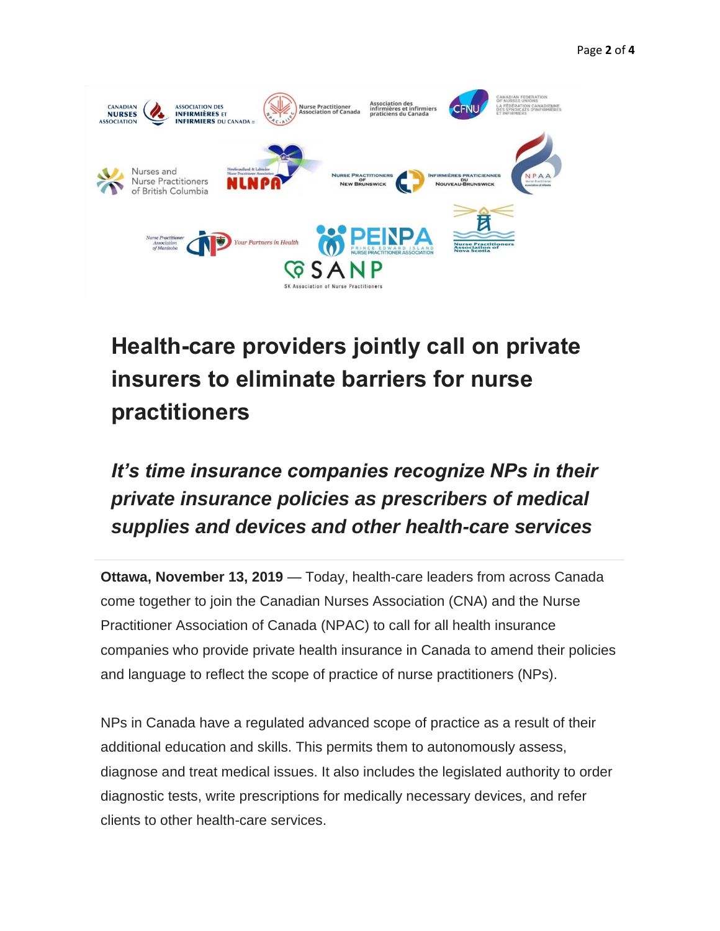

# **Health-care providers jointly call on private insurers to eliminate barriers for nurse practitioners**

# *It's time insurance companies recognize NPs in their private insurance policies as prescribers of medical supplies and devices and other health-care services*

**Ottawa, November 13, 2019** — Today, health-care leaders from across Canada come together to join the Canadian Nurses Association (CNA) and the Nurse Practitioner Association of Canada (NPAC) to call for all health insurance companies who provide private health insurance in Canada to amend their policies and language to reflect the scope of practice of nurse practitioners (NPs).

NPs in Canada have a regulated advanced scope of practice as a result of their additional education and skills. This permits them to autonomously assess, diagnose and treat medical issues. It also includes the legislated authority to order diagnostic tests, write prescriptions for medically necessary devices, and refer clients to other health-care services.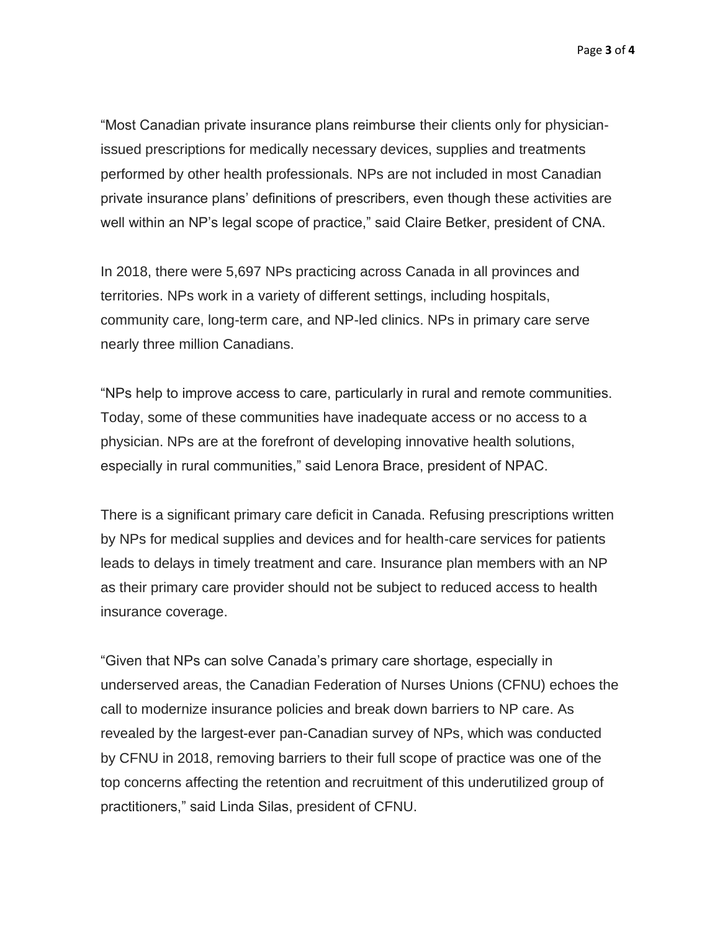Page **3** of **4**

"Most Canadian private insurance plans reimburse their clients only for physicianissued prescriptions for medically necessary devices, supplies and treatments performed by other health professionals. NPs are not included in most Canadian private insurance plans' definitions of prescribers, even though these activities are well within an NP's legal scope of practice," said Claire Betker, president of CNA.

In 2018, there were 5,697 NPs practicing across Canada in all provinces and territories. NPs work in a variety of different settings, including hospitals, community care, long-term care, and NP-led clinics. NPs in primary care serve nearly three million Canadians.

"NPs help to improve access to care, particularly in rural and remote communities. Today, some of these communities have inadequate access or no access to a physician. NPs are at the forefront of developing innovative health solutions, especially in rural communities," said Lenora Brace, president of NPAC.

There is a significant primary care deficit in Canada. Refusing prescriptions written by NPs for medical supplies and devices and for health-care services for patients leads to delays in timely treatment and care. Insurance plan members with an NP as their primary care provider should not be subject to reduced access to health insurance coverage.

"Given that NPs can solve Canada's primary care shortage, especially in underserved areas, the Canadian Federation of Nurses Unions (CFNU) echoes the call to modernize insurance policies and break down barriers to NP care. As revealed by the largest-ever pan-Canadian survey of NPs, which was conducted by CFNU in 2018, removing barriers to their full scope of practice was one of the top concerns affecting the retention and recruitment of this underutilized group of practitioners," said Linda Silas, president of CFNU.